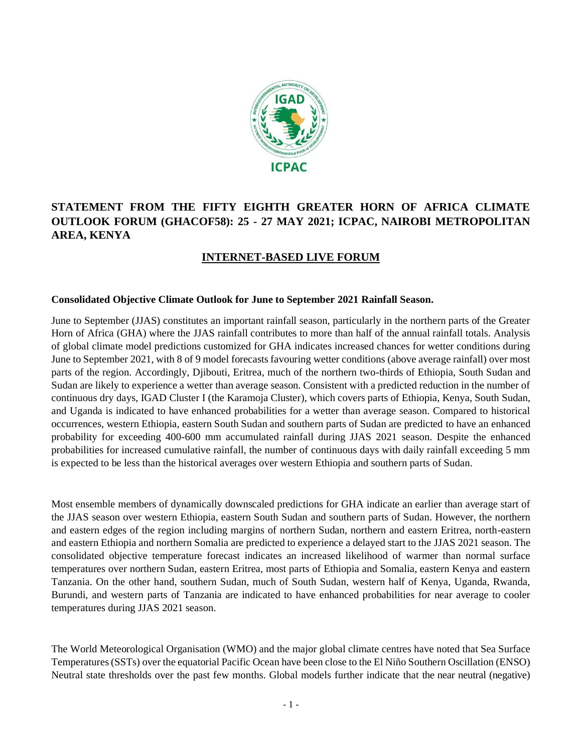

# **STATEMENT FROM THE FIFTY EIGHTH GREATER HORN OF AFRICA CLIMATE OUTLOOK FORUM (GHACOF58): 25 - 27 MAY 2021; ICPAC, NAIROBI METROPOLITAN AREA, KENYA**

# **INTERNET-BASED LIVE FORUM**

## **Consolidated Objective Climate Outlook for June to September 2021 Rainfall Season.**

June to September (JJAS) constitutes an important rainfall season, particularly in the northern parts of the Greater Horn of Africa (GHA) where the JJAS rainfall contributes to more than half of the annual rainfall totals. Analysis of global climate model predictions customized for GHA indicates increased chances for wetter conditions during June to September 2021, with 8 of 9 model forecasts favouring wetter conditions (above average rainfall) over most parts of the region. Accordingly, Djibouti, Eritrea, much of the northern two-thirds of Ethiopia, South Sudan and Sudan are likely to experience a wetter than average season. Consistent with a predicted reduction in the number of continuous dry days, IGAD Cluster I (the Karamoja Cluster), which covers parts of Ethiopia, Kenya, South Sudan, and Uganda is indicated to have enhanced probabilities for a wetter than average season. Compared to historical occurrences, western Ethiopia, eastern South Sudan and southern parts of Sudan are predicted to have an enhanced probability for exceeding 400-600 mm accumulated rainfall during JJAS 2021 season. Despite the enhanced probabilities for increased cumulative rainfall, the number of continuous days with daily rainfall exceeding 5 mm is expected to be less than the historical averages over western Ethiopia and southern parts of Sudan.

Most ensemble members of dynamically downscaled predictions for GHA indicate an earlier than average start of the JJAS season over western Ethiopia, eastern South Sudan and southern parts of Sudan. However, the northern and eastern edges of the region including margins of northern Sudan, northern and eastern Eritrea, north-eastern and eastern Ethiopia and northern Somalia are predicted to experience a delayed start to the JJAS 2021 season. The consolidated objective temperature forecast indicates an increased likelihood of warmer than normal surface temperatures over northern Sudan, eastern Eritrea, most parts of Ethiopia and Somalia, eastern Kenya and eastern Tanzania. On the other hand, southern Sudan, much of South Sudan, western half of Kenya, Uganda, Rwanda, Burundi, and western parts of Tanzania are indicated to have enhanced probabilities for near average to cooler temperatures during JJAS 2021 season.

The World Meteorological Organisation (WMO) and the major global climate centres have noted that Sea Surface Temperatures (SSTs) over the equatorial Pacific Ocean have been close to the El Niño Southern Oscillation (ENSO) Neutral state thresholds over the past few months. Global models further indicate that the near neutral (negative)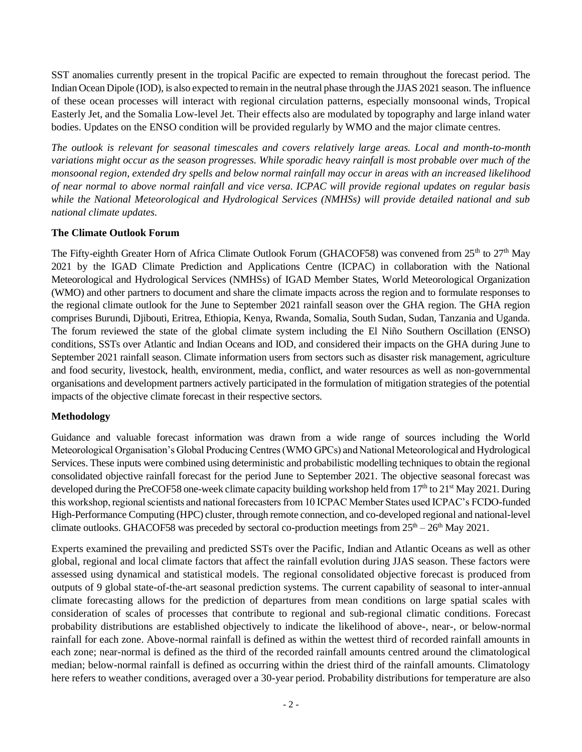SST anomalies currently present in the tropical Pacific are expected to remain throughout the forecast period. The Indian Ocean Dipole (IOD), is also expected to remain in the neutral phase through the JJAS 2021 season. The influence of these ocean processes will interact with regional circulation patterns, especially monsoonal winds, Tropical Easterly Jet, and the Somalia Low-level Jet. Their effects also are modulated by topography and large inland water bodies. Updates on the ENSO condition will be provided regularly by WMO and the major climate centres.

*The outlook is relevant for seasonal timescales and covers relatively large areas. Local and month-to-month variations might occur as the season progresses. While sporadic heavy rainfall is most probable over much of the monsoonal region, extended dry spells and below normal rainfall may occur in areas with an increased likelihood of near normal to above normal rainfall and vice versa. ICPAC will provide regional updates on regular basis while the National Meteorological and Hydrological Services (NMHSs) will provide detailed national and sub national climate updates.*

## **The Climate Outlook Forum**

The Fifty-eighth Greater Horn of Africa Climate Outlook Forum (GHACOF58) was convened from 25<sup>th</sup> to 27<sup>th</sup> May 2021 by the IGAD Climate Prediction and Applications Centre (ICPAC) in collaboration with the National Meteorological and Hydrological Services (NMHSs) of IGAD Member States, World Meteorological Organization (WMO) and other partners to document and share the climate impacts across the region and to formulate responses to the regional climate outlook for the June to September 2021 rainfall season over the GHA region. The GHA region comprises Burundi, Djibouti, Eritrea, Ethiopia, Kenya, Rwanda, Somalia, South Sudan, Sudan, Tanzania and Uganda. The forum reviewed the state of the global climate system including the El Niño Southern Oscillation (ENSO) conditions, SSTs over Atlantic and Indian Oceans and IOD, and considered their impacts on the GHA during June to September 2021 rainfall season. Climate information users from sectors such as disaster risk management, agriculture and food security, livestock, health, environment, media, conflict, and water resources as well as non-governmental organisations and development partners actively participated in the formulation of mitigation strategies of the potential impacts of the objective climate forecast in their respective sectors.

#### **Methodology**

Guidance and valuable forecast information was drawn from a wide range of sources including the World Meteorological Organisation's Global Producing Centres (WMO GPCs) and National Meteorological and Hydrological Services. These inputs were combined using deterministic and probabilistic modelling techniques to obtain the regional consolidated objective rainfall forecast for the period June to September 2021. The objective seasonal forecast was developed during the PreCOF58 one-week climate capacity building workshop held from 17<sup>th</sup> to 21<sup>st</sup> May 2021. During this workshop, regional scientists and national forecasters from 10 ICPAC Member States used ICPAC's FCDO-funded High-Performance Computing (HPC) cluster, through remote connection, and co-developed regional and national-level climate outlooks. GHACOF58 was preceded by sectoral co-production meetings from  $25<sup>th</sup> - 26<sup>th</sup>$  May 2021.

Experts examined the prevailing and predicted SSTs over the Pacific, Indian and Atlantic Oceans as well as other global, regional and local climate factors that affect the rainfall evolution during JJAS season. These factors were assessed using dynamical and statistical models. The regional consolidated objective forecast is produced from outputs of 9 global state-of-the-art seasonal prediction systems. The current capability of seasonal to inter-annual climate forecasting allows for the prediction of departures from mean conditions on large spatial scales with consideration of scales of processes that contribute to regional and sub-regional climatic conditions. Forecast probability distributions are established objectively to indicate the likelihood of above-, near-, or below-normal rainfall for each zone. Above-normal rainfall is defined as within the wettest third of recorded rainfall amounts in each zone; near-normal is defined as the third of the recorded rainfall amounts centred around the climatological median; below-normal rainfall is defined as occurring within the driest third of the rainfall amounts. Climatology here refers to weather conditions, averaged over a 30-year period. Probability distributions for temperature are also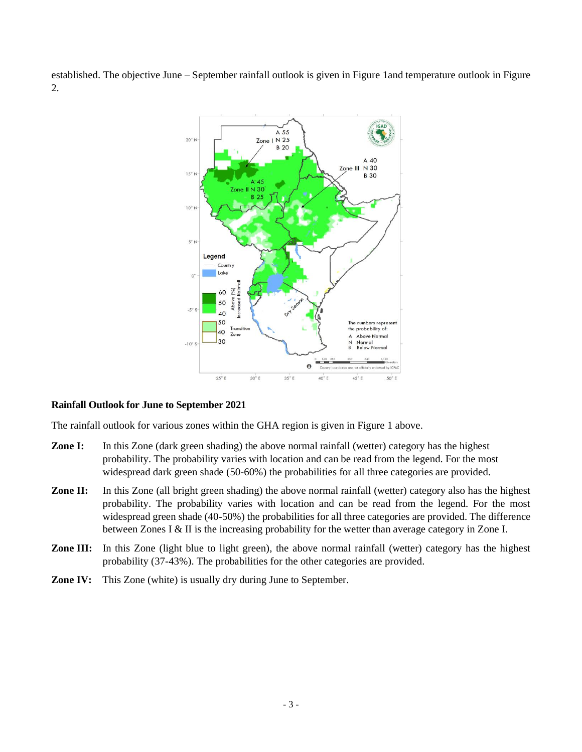established. The objective June – September rainfall outlook is given in Figure 1and temperature outlook in Figure 2.



## **Rainfall Outlook for June to September 2021**

The rainfall outlook for various zones within the GHA region is given in Figure 1 above.

- **Zone I:** In this Zone (dark green shading) the above normal rainfall (wetter) category has the highest probability. The probability varies with location and can be read from the legend. For the most widespread dark green shade (50-60%) the probabilities for all three categories are provided.
- **Zone II:** In this Zone (all bright green shading) the above normal rainfall (wetter) category also has the highest probability. The probability varies with location and can be read from the legend. For the most widespread green shade (40-50%) the probabilities for all three categories are provided. The difference between Zones I & II is the increasing probability for the wetter than average category in Zone I.
- **Zone III:** In this Zone (light blue to light green), the above normal rainfall (wetter) category has the highest probability (37-43%). The probabilities for the other categories are provided.
- **Zone IV:** This Zone (white) is usually dry during June to September.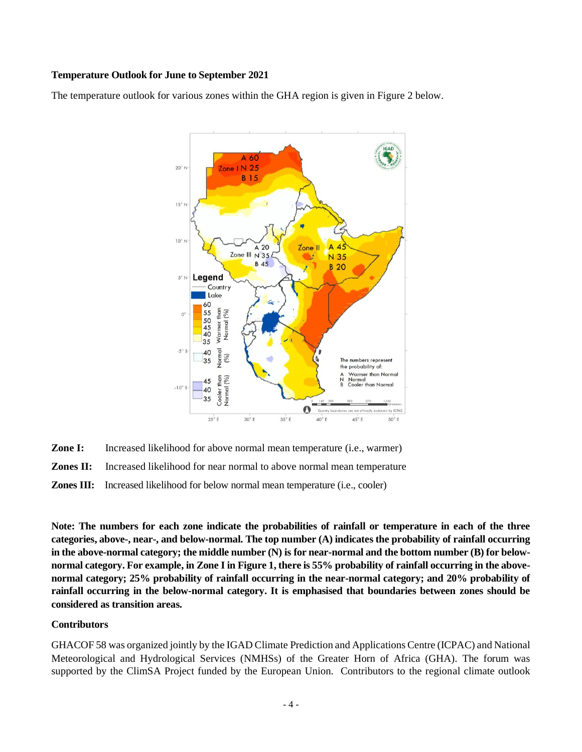## **Temperature Outlook for June to September 2021**

The temperature outlook for various zones within the GHA region is given in Figure 2 below.



**Zone I:** Increased likelihood for above normal mean temperature (i.e., warmer) **Zones II:** Increased likelihood for near normal to above normal mean temperature **Zones III:**Increased likelihood for below normal mean temperature (i.e., cooler)

**Note: The numbers for each zone indicate the probabilities of rainfall or temperature in each of the three categories, above-, near-, and below-normal. The top number (A) indicates the probability of rainfall occurring in the above-normal category; the middle number (N) is for near-normal and the bottom number (B) for belownormal category. For example, in Zone I in Figure 1, there is 55% probability of rainfall occurring in the abovenormal category; 25% probability of rainfall occurring in the near-normal category; and 20% probability of rainfall occurring in the below-normal category. It is emphasised that boundaries between zones should be considered as transition areas.**

## **Contributors**

GHACOF 58 was organized jointly by the IGAD Climate Prediction and Applications Centre (ICPAC) and National Meteorological and Hydrological Services (NMHSs) of the Greater Horn of Africa (GHA). The forum was supported by the ClimSA Project funded by the European Union. Contributors to the regional climate outlook